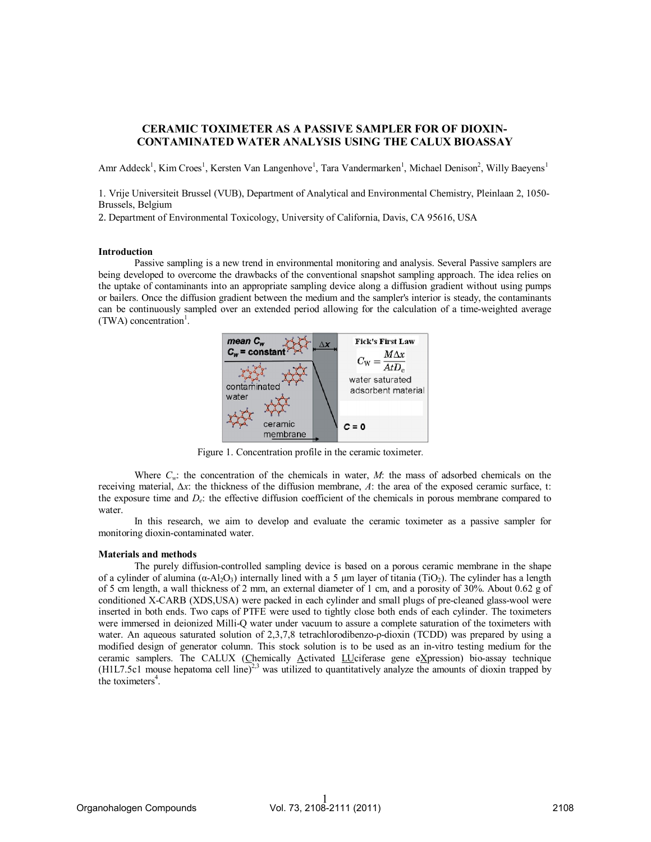# CERAMIC TOXIMETER AS A PASSIVE SAMPLER FOR OF DIOXIN-CONTAMINATED WATER ANALYSIS USING THE CALUX BIOASSAY

Amr Addeck<sup>1</sup>, Kim Croes<sup>1</sup>, Kersten Van Langenhove<sup>1</sup>, Tara Vandermarken<sup>1</sup>, Michael Denison<sup>2</sup>, Willy Baeyens<sup>1</sup>

1. Vrije Universiteit Brussel (VUB), Department of Analytical and Environmental Chemistry, Pleinlaan 2, 1050- Brussels, Belgium

2. Department of Environmental Toxicology, University of California, Davis, CA 95616, USA

### Introduction

 Passive sampling is a new trend in environmental monitoring and analysis. Several Passive samplers are being developed to overcome the drawbacks of the conventional snapshot sampling approach. The idea relies on the uptake of contaminants into an appropriate sampling device along a diffusion gradient without using pumps or bailers. Once the diffusion gradient between the medium and the sampler's interior is steady, the contaminants can be continuously sampled over an extended period allowing for the calculation of a time-weighted average  $(TWA)$  concentration<sup>1</sup>.



Figure 1. Concentration profile in the ceramic toximeter*.* 

Where *Cw*: the concentration of the chemicals in water, *M*: the mass of adsorbed chemicals on the receiving material, *∆x*: the thickness of the diffusion membrane, *A*: the area of the exposed ceramic surface, t: the exposure time and *De*: the effective diffusion coefficient of the chemicals in porous membrane compared to water.

In this research, we aim to develop and evaluate the ceramic toximeter as a passive sampler for monitoring dioxin-contaminated water.

#### Materials and methods

 The purely diffusion-controlled sampling device is based on a porous ceramic membrane in the shape of a cylinder of alumina  $(\alpha$ -Al<sub>2</sub>O<sub>3</sub>) internally lined with a 5 µm layer of titania (TiO<sub>2</sub>). The cylinder has a length of 5 cm length, a wall thickness of 2 mm, an external diameter of 1 cm, and a porosity of 30%. About 0.62 g of conditioned X-CARB (XDS,USA) were packed in each cylinder and small plugs of pre-cleaned glass-wool were inserted in both ends. Two caps of PTFE were used to tightly close both ends of each cylinder. The toximeters were immersed in deionized Milli-Q water under vacuum to assure a complete saturation of the toximeters with water. An aqueous saturated solution of 2,3,7,8 tetrachlorodibenzo-ρ-dioxin (TCDD) was prepared by using a modified design of generator column. This stock solution is to be used as an in-vitro testing medium for the ceramic samplers. The CALUX (Chemically Activated LUciferase gene eXpression) bio-assay technique (H1L7.5c1 mouse hepatoma cell line)<sup>2,3</sup> was utilized to quantitatively analyze the amounts of dioxin trapped by the toximeters $4$ .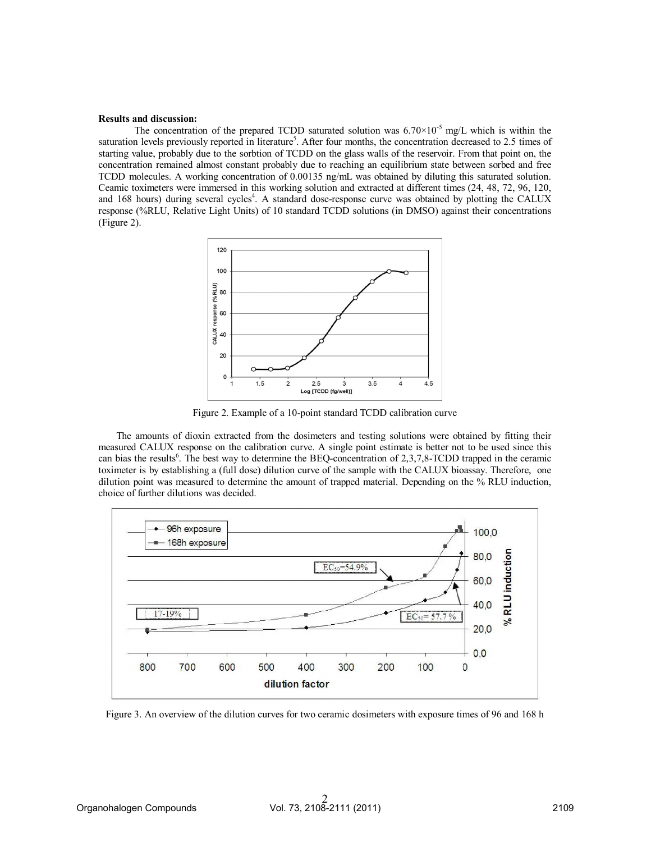#### Results and discussion:

The concentration of the prepared TCDD saturated solution was  $6.70\times10^{-5}$  mg/L which is within the saturation levels previously reported in literature<sup>5</sup>. After four months, the concentration decreased to 2.5 times of starting value, probably due to the sorbtion of TCDD on the glass walls of the reservoir. From that point on, the concentration remained almost constant probably due to reaching an equilibrium state between sorbed and free TCDD molecules. A working concentration of 0.00135 ng/mL was obtained by diluting this saturated solution. Ceamic toximeters were immersed in this working solution and extracted at different times (24, 48, 72, 96, 120, and 168 hours) during several cycles<sup>4</sup>. A standard dose-response curve was obtained by plotting the CALUX response (%RLU, Relative Light Units) of 10 standard TCDD solutions (in DMSO) against their concentrations (Figure 2).



Figure 2. Example of a 10-point standard TCDD calibration curve

The amounts of dioxin extracted from the dosimeters and testing solutions were obtained by fitting their measured CALUX response on the calibration curve. A single point estimate is better not to be used since this can bias the results<sup>6</sup>. The best way to determine the BEQ-concentration of 2,3,7,8-TCDD trapped in the ceramic toximeter is by establishing a (full dose) dilution curve of the sample with the CALUX bioassay. Therefore, one dilution point was measured to determine the amount of trapped material. Depending on the % RLU induction, choice of further dilutions was decided.



Figure 3. An overview of the dilution curves for two ceramic dosimeters with exposure times of 96 and 168 h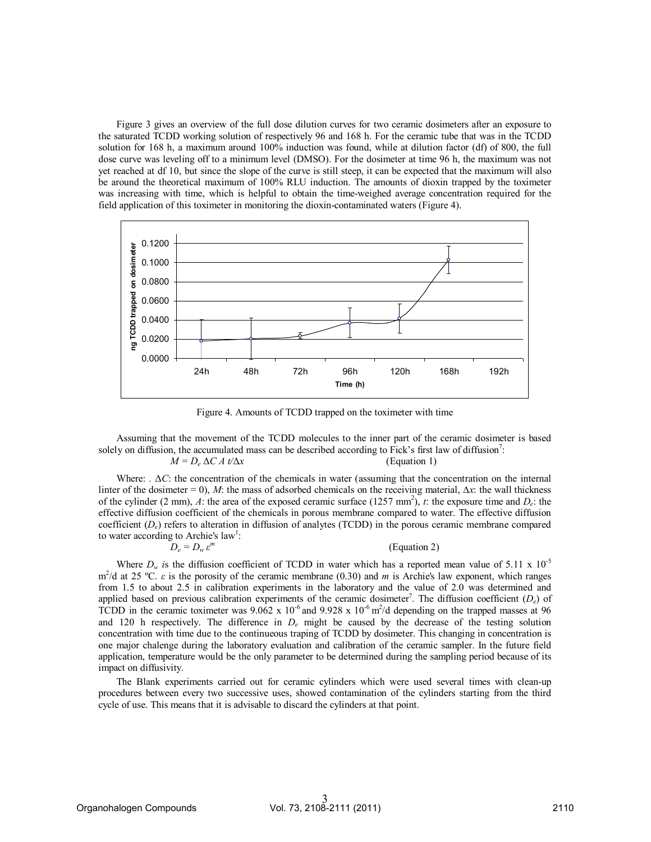Figure 3 gives an overview of the full dose dilution curves for two ceramic dosimeters after an exposure to the saturated TCDD working solution of respectively 96 and 168 h. For the ceramic tube that was in the TCDD solution for 168 h, a maximum around 100% induction was found, while at dilution factor (df) of 800, the full dose curve was leveling off to a minimum level (DMSO). For the dosimeter at time 96 h, the maximum was not yet reached at df 10, but since the slope of the curve is still steep, it can be expected that the maximum will also be around the theoretical maximum of 100% RLU induction. The amounts of dioxin trapped by the toximeter was increasing with time, which is helpful to obtain the time-weighed average concentration required for the field application of this toximeter in monitoring the dioxin-contaminated waters (Figure 4).



Figure 4. Amounts of TCDD trapped on the toximeter with time

Assuming that the movement of the TCDD molecules to the inner part of the ceramic dosimeter is based solely on diffusion, the accumulated mass can be described according to Fick's first law of diffusion<sup>7</sup>:

$$
M = D_e \Delta C A t / \Delta x
$$
 (Equation 1)

Where: *.* Δ*C*: the concentration of the chemicals in water (assuming that the concentration on the internal linter of the dosimeter = 0), *M*: the mass of adsorbed chemicals on the receiving material, ∆*x*: the wall thickness of the cylinder (2 mm),  $\hat{A}$ : the area of the exposed ceramic surface (1257 mm<sup>2</sup>),  $\hat{t}$ : the exposure time and  $D_e$ : the effective diffusion coefficient of the chemicals in porous membrane compared to water. The effective diffusion coefficient (*De*) refers to alteration in diffusion of analytes (TCDD) in the porous ceramic membrane compared to water according to Archie's law<sup>1</sup>:

$$
D_e = D_w \varepsilon^m \tag{Equation 2}
$$

Where  $D_w$  *is* the diffusion coefficient of TCDD in water which has a reported mean value of 5.11 x 10<sup>-5</sup> m<sup>2</sup>/d at 25 °C. *ε* is the porosity of the ceramic membrane (0.30) and *m* is Archie's law exponent, which ranges from 1.5 to about 2.5 in calibration experiments in the laboratory and the value of 2.0 was determined and applied based on previous calibration experiments of the ceramic dosimeter<sup>7</sup>. The diffusion coefficient (*D<sub>e</sub>*) of TCDD in the ceramic toximeter was  $9.062 \times 10^{-6}$  and  $9.928 \times 10^{-6}$  m<sup>2</sup>/d depending on the trapped masses at 96 and 120 h respectively. The difference in *De* might be caused by the decrease of the testing solution concentration with time due to the continueous traping of TCDD by dosimeter. This changing in concentration is one major chalenge during the laboratory evaluation and calibration of the ceramic sampler. In the future field application, temperature would be the only parameter to be determined during the sampling period because of its impact on diffusivity.

The Blank experiments carried out for ceramic cylinders which were used several times with clean-up procedures between every two successive uses, showed contamination of the cylinders starting from the third cycle of use. This means that it is advisable to discard the cylinders at that point.